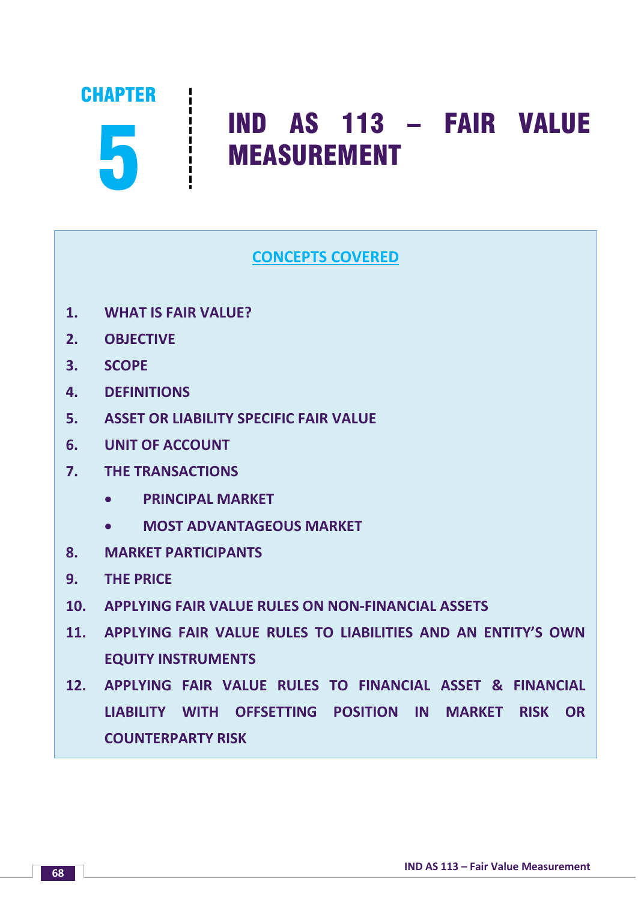CHAPTER

# 5 IND AS 113 – FAIR VALUE MEASUREMENT

# **CONCEPTS COVERED**

- **1. WHAT IS FAIR VALUE?**
- **2. OBJECTIVE**
- **3. SCOPE**
- **4. DEFINITIONS**
- **5. ASSET OR LIABILITY SPECIFIC FAIR VALUE**
- **6. UNIT OF ACCOUNT**
- **7. THE TRANSACTIONS**
	- **PRINCIPAL MARKET**
	- **MOST ADVANTAGEOUS MARKET**
- **8. MARKET PARTICIPANTS**
- **9. THE PRICE**
- **10. APPLYING FAIR VALUE RULES ON NON-FINANCIAL ASSETS**
- **11. APPLYING FAIR VALUE RULES TO LIABILITIES AND AN ENTITY'S OWN EQUITY INSTRUMENTS**
- **12. APPLYING FAIR VALUE RULES TO FINANCIAL ASSET & FINANCIAL LIABILITY WITH OFFSETTING POSITION IN MARKET RISK OR COUNTERPARTY RISK**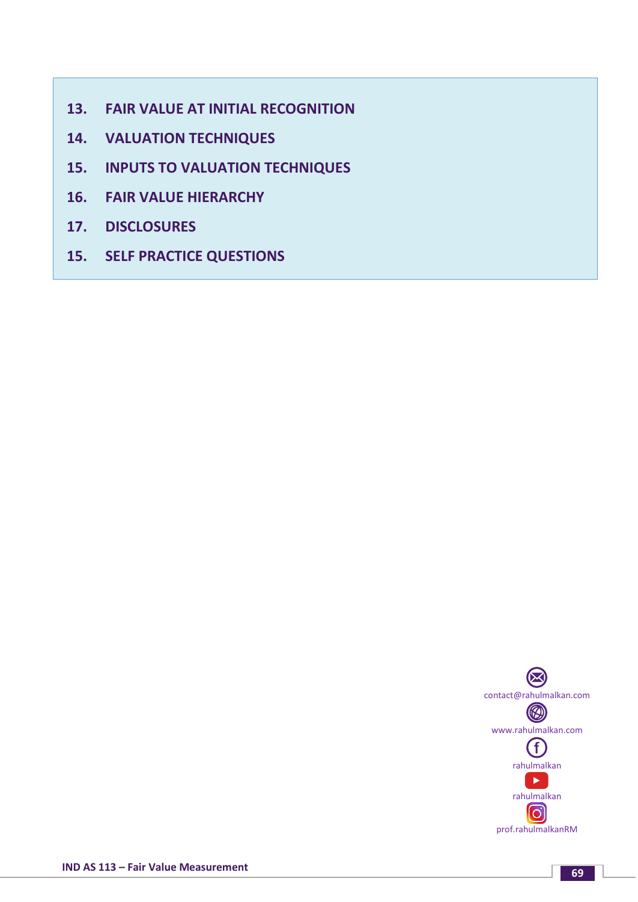- **13. FAIR VALUE AT INITIAL RECOGNITION**
- **14. VALUATION TECHNIQUES**
- **15. INPUTS TO VALUATION TECHNIQUES**
- **16. FAIR VALUE HIERARCHY**
- **17. DISCLOSURES**
- **15. SELF PRACTICE QUESTIONS**

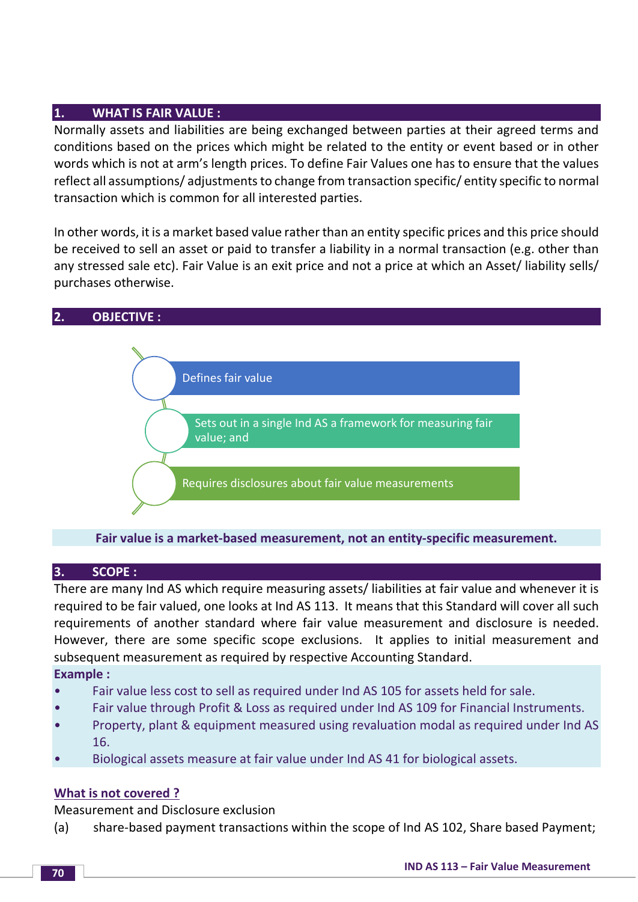# **1. WHAT IS FAIR VALUE :**

Normally assets and liabilities are being exchanged between parties at their agreed terms and conditions based on the prices which might be related to the entity or event based or in other words which is not at arm's length prices. To define Fair Values one has to ensure that the values reflect all assumptions/ adjustments to change from transaction specific/ entity specific to normal transaction which is common for all interested parties.

In other words, it is a market based value rather than an entity specific prices and this price should be received to sell an asset or paid to transfer a liability in a normal transaction (e.g. other than any stressed sale etc). Fair Value is an exit price and not a price at which an Asset/ liability sells/ purchases otherwise.



**Fair value is a market-based measurement, not an entity-specific measurement.**

# **3. SCOPE :**

There are many Ind AS which require measuring assets/ liabilities at fair value and whenever it is required to be fair valued, one looks at Ind AS 113. It means that this Standard will cover all such requirements of another standard where fair value measurement and disclosure is needed. However, there are some specific scope exclusions. It applies to initial measurement and subsequent measurement as required by respective Accounting Standard.

# **Example :**

- Fair value less cost to sell as required under Ind AS 105 for assets held for sale.
- Fair value through Profit & Loss as required under Ind AS 109 for Financial Instruments.
- Property, plant & equipment measured using revaluation modal as required under Ind AS 16.
- Biological assets measure at fair value under Ind AS 41 for biological assets.

# **What is not covered ?**

Measurement and Disclosure exclusion

(a) share-based payment transactions within the scope of Ind AS 102, Share based Payment;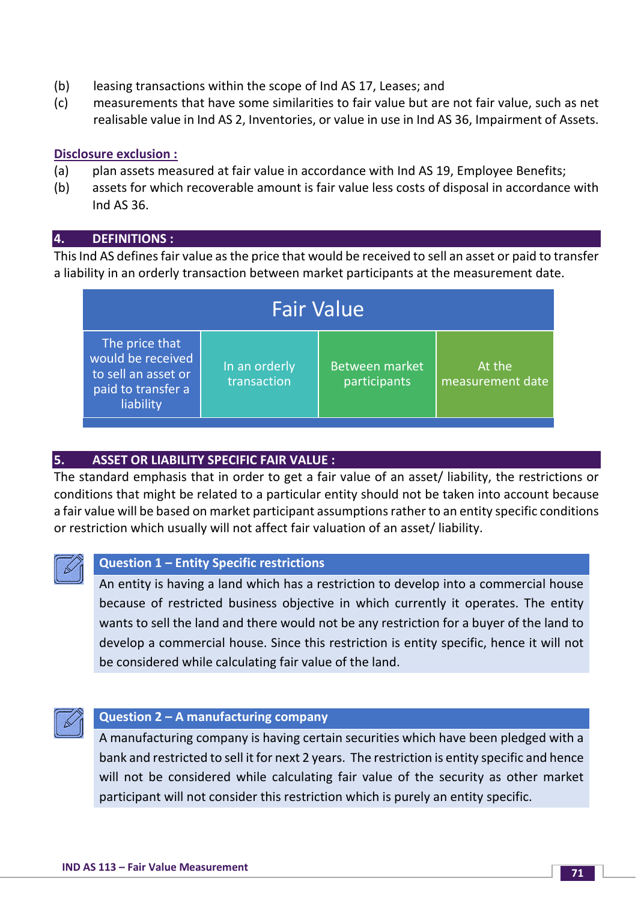- (b) leasing transactions within the scope of Ind AS 17, Leases; and
- (c) measurements that have some similarities to fair value but are not fair value, such as net realisable value in Ind AS 2, Inventories, or value in use in Ind AS 36, Impairment of Assets.

# **Disclosure exclusion :**

- (a) plan assets measured at fair value in accordance with Ind AS 19, Employee Benefits;
- (b) assets for which recoverable amount is fair value less costs of disposal in accordance with Ind AS 36.

#### **4. DEFINITIONS :**

This Ind AS defines fair value as the price that would be received to sell an asset or paid to transfer a liability in an orderly transaction between market participants at the measurement date.

| <b>Fair Value</b>                                                                             |                                           |                                       |                            |  |
|-----------------------------------------------------------------------------------------------|-------------------------------------------|---------------------------------------|----------------------------|--|
| The price that<br>would be received<br>to sell an asset or<br>paid to transfer a<br>liability | In an orderly<br>transaction <sup>1</sup> | <b>Between market</b><br>participants | At the<br>measurement date |  |

# **5. ASSET OR LIABILITY SPECIFIC FAIR VALUE :**

The standard emphasis that in order to get a fair value of an asset/ liability, the restrictions or conditions that might be related to a particular entity should not be taken into account because a fair value will be based on market participant assumptions rather to an entity specific conditions or restriction which usually will not affect fair valuation of an asset/ liability.



#### **Question 1 – Entity Specific restrictions**

An entity is having a land which has a restriction to develop into a commercial house because of restricted business objective in which currently it operates. The entity wants to sell the land and there would not be any restriction for a buyer of the land to develop a commercial house. Since this restriction is entity specific, hence it will not be considered while calculating fair value of the land.



#### **Question 2 – A manufacturing company**

A manufacturing company is having certain securities which have been pledged with a bank and restricted to sell it for next 2 years. The restriction is entity specific and hence will not be considered while calculating fair value of the security as other market participant will not consider this restriction which is purely an entity specific.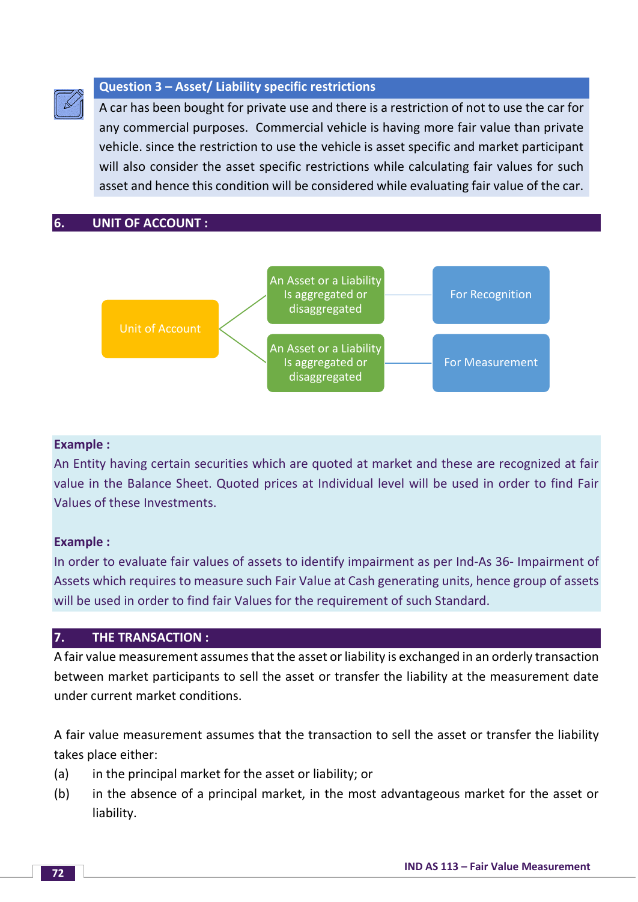# **Question 3 – Asset/ Liability specific restrictions**

A car has been bought for private use and there is a restriction of not to use the car for any commercial purposes. Commercial vehicle is having more fair value than private vehicle. since the restriction to use the vehicle is asset specific and market participant will also consider the asset specific restrictions while calculating fair values for such asset and hence this condition will be considered while evaluating fair value of the car.

**6. UNIT OF ACCOUNT :**



# **Example :**

An Entity having certain securities which are quoted at market and these are recognized at fair value in the Balance Sheet. Quoted prices at Individual level will be used in order to find Fair Values of these Investments.

# **Example :**

In order to evaluate fair values of assets to identify impairment as per Ind-As 36- Impairment of Assets which requires to measure such Fair Value at Cash generating units, hence group of assets will be used in order to find fair Values for the requirement of such Standard.

# **7. THE TRANSACTION :**

A fair value measurement assumes that the asset or liability is exchanged in an orderly transaction between market participants to sell the asset or transfer the liability at the measurement date under current market conditions.

A fair value measurement assumes that the transaction to sell the asset or transfer the liability takes place either:

- (a) in the principal market for the asset or liability; or
- (b) in the absence of a principal market, in the most advantageous market for the asset or liability.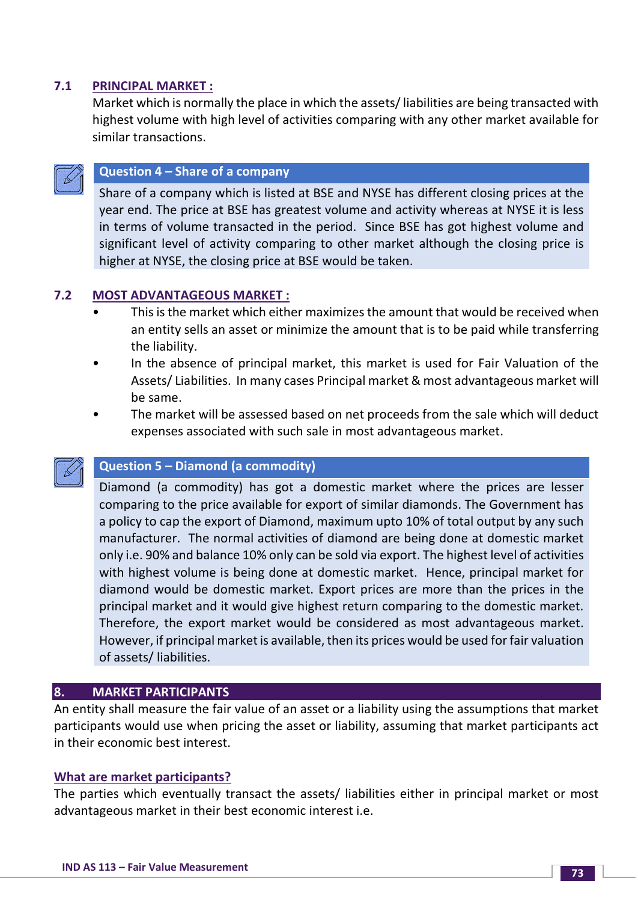# **7.1 PRINCIPAL MARKET :**

Market which is normally the place in which the assets/ liabilities are being transacted with highest volume with high level of activities comparing with any other market available for similar transactions.



# **Question 4 – Share of a company**

Share of a company which is listed at BSE and NYSE has different closing prices at the year end. The price at BSE has greatest volume and activity whereas at NYSE it is less in terms of volume transacted in the period. Since BSE has got highest volume and significant level of activity comparing to other market although the closing price is higher at NYSE, the closing price at BSE would be taken.

# **7.2 MOST ADVANTAGEOUS MARKET :**

- This is the market which either maximizes the amount that would be received when an entity sells an asset or minimize the amount that is to be paid while transferring the liability.
- In the absence of principal market, this market is used for Fair Valuation of the Assets/ Liabilities. In many cases Principal market & most advantageous market will be same.
- The market will be assessed based on net proceeds from the sale which will deduct expenses associated with such sale in most advantageous market.

#### **Question 5 – Diamond (a commodity)**

Diamond (a commodity) has got a domestic market where the prices are lesser comparing to the price available for export of similar diamonds. The Government has a policy to cap the export of Diamond, maximum upto 10% of total output by any such manufacturer. The normal activities of diamond are being done at domestic market only i.e. 90% and balance 10% only can be sold via export. The highest level of activities with highest volume is being done at domestic market. Hence, principal market for diamond would be domestic market. Export prices are more than the prices in the principal market and it would give highest return comparing to the domestic market. Therefore, the export market would be considered as most advantageous market. However, if principal market is available, then its prices would be used for fair valuation of assets/ liabilities.

#### **8. MARKET PARTICIPANTS**

An entity shall measure the fair value of an asset or a liability using the assumptions that market participants would use when pricing the asset or liability, assuming that market participants act in their economic best interest.

#### **What are market participants?**

The parties which eventually transact the assets/ liabilities either in principal market or most advantageous market in their best economic interest i.e.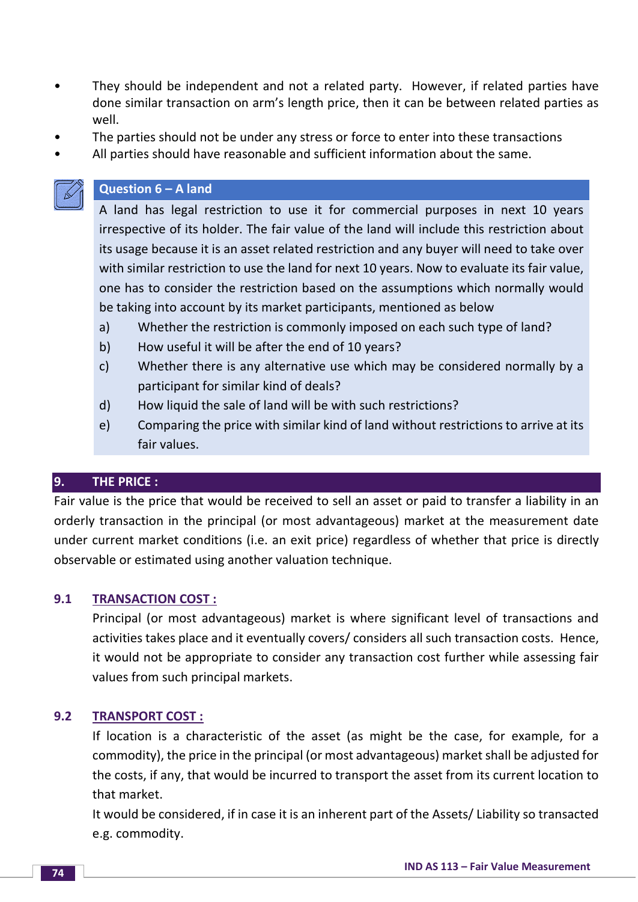- They should be independent and not a related party. However, if related parties have done similar transaction on arm's length price, then it can be between related parties as well.
- The parties should not be under any stress or force to enter into these transactions
- All parties should have reasonable and sufficient information about the same.

# **Question 6 – A land**

A land has legal restriction to use it for commercial purposes in next 10 years irrespective of its holder. The fair value of the land will include this restriction about its usage because it is an asset related restriction and any buyer will need to take over with similar restriction to use the land for next 10 years. Now to evaluate its fair value, one has to consider the restriction based on the assumptions which normally would be taking into account by its market participants, mentioned as below

- a) Whether the restriction is commonly imposed on each such type of land?
- b) How useful it will be after the end of 10 years?
- c) Whether there is any alternative use which may be considered normally by a participant for similar kind of deals?
- d) How liquid the sale of land will be with such restrictions?
- e) Comparing the price with similar kind of land without restrictions to arrive at its fair values.

# **9. THE PRICE :**

Fair value is the price that would be received to sell an asset or paid to transfer a liability in an orderly transaction in the principal (or most advantageous) market at the measurement date under current market conditions (i.e. an exit price) regardless of whether that price is directly observable or estimated using another valuation technique.

# **9.1 TRANSACTION COST :**

Principal (or most advantageous) market is where significant level of transactions and activities takes place and it eventually covers/ considers all such transaction costs. Hence, it would not be appropriate to consider any transaction cost further while assessing fair values from such principal markets.

# **9.2 TRANSPORT COST :**

If location is a characteristic of the asset (as might be the case, for example, for a commodity), the price in the principal (or most advantageous) market shall be adjusted for the costs, if any, that would be incurred to transport the asset from its current location to that market.

It would be considered, if in case it is an inherent part of the Assets/ Liability so transacted e.g. commodity.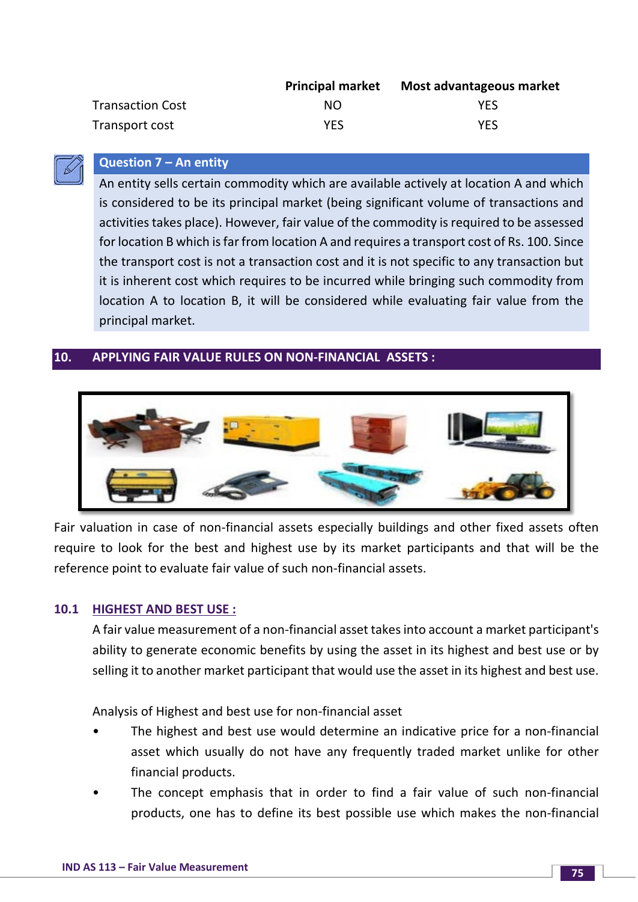|                         | <b>Principal market</b> | Most advantageous market |
|-------------------------|-------------------------|--------------------------|
| <b>Transaction Cost</b> | NO.                     | YFS                      |
| Transport cost          | <b>YES</b>              | <b>YES</b>               |

# **Question 7 – An entity**

An entity sells certain commodity which are available actively at location A and which is considered to be its principal market (being significant volume of transactions and activities takes place). However, fair value of the commodity is required to be assessed for location B which is far from location A and requires a transport cost of Rs. 100. Since the transport cost is not a transaction cost and it is not specific to any transaction but it is inherent cost which requires to be incurred while bringing such commodity from location A to location B, it will be considered while evaluating fair value from the principal market.

# **10. APPLYING FAIR VALUE RULES ON NON-FINANCIAL ASSETS :**



Fair valuation in case of non-financial assets especially buildings and other fixed assets often require to look for the best and highest use by its market participants and that will be the reference point to evaluate fair value of such non-financial assets.

# **10.1 HIGHEST AND BEST USE :**

A fair value measurement of a non-financial asset takes into account a market participant's ability to generate economic benefits by using the asset in its highest and best use or by selling it to another market participant that would use the asset in its highest and best use.

Analysis of Highest and best use for non-financial asset

- The highest and best use would determine an indicative price for a non-financial asset which usually do not have any frequently traded market unlike for other financial products.
- The concept emphasis that in order to find a fair value of such non-financial products, one has to define its best possible use which makes the non-financial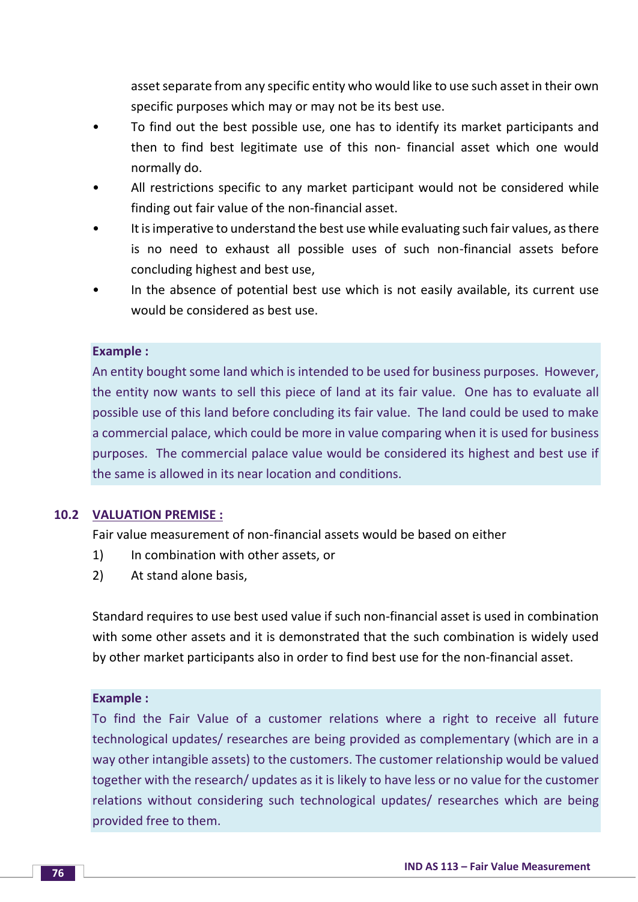asset separate from any specific entity who would like to use such asset in their own specific purposes which may or may not be its best use.

- To find out the best possible use, one has to identify its market participants and then to find best legitimate use of this non- financial asset which one would normally do.
- All restrictions specific to any market participant would not be considered while finding out fair value of the non-financial asset.
- It is imperative to understand the best use while evaluating such fair values, as there is no need to exhaust all possible uses of such non-financial assets before concluding highest and best use,
- In the absence of potential best use which is not easily available, its current use would be considered as best use.

#### **Example :**

An entity bought some land which is intended to be used for business purposes. However, the entity now wants to sell this piece of land at its fair value. One has to evaluate all possible use of this land before concluding its fair value. The land could be used to make a commercial palace, which could be more in value comparing when it is used for business purposes. The commercial palace value would be considered its highest and best use if the same is allowed in its near location and conditions.

#### **10.2 VALUATION PREMISE :**

Fair value measurement of non-financial assets would be based on either

- 1) In combination with other assets, or
- 2) At stand alone basis,

Standard requires to use best used value if such non-financial asset is used in combination with some other assets and it is demonstrated that the such combination is widely used by other market participants also in order to find best use for the non-financial asset.

#### **Example :**

To find the Fair Value of a customer relations where a right to receive all future technological updates/ researches are being provided as complementary (which are in a way other intangible assets) to the customers. The customer relationship would be valued together with the research/ updates as it is likely to have less or no value for the customer relations without considering such technological updates/ researches which are being provided free to them.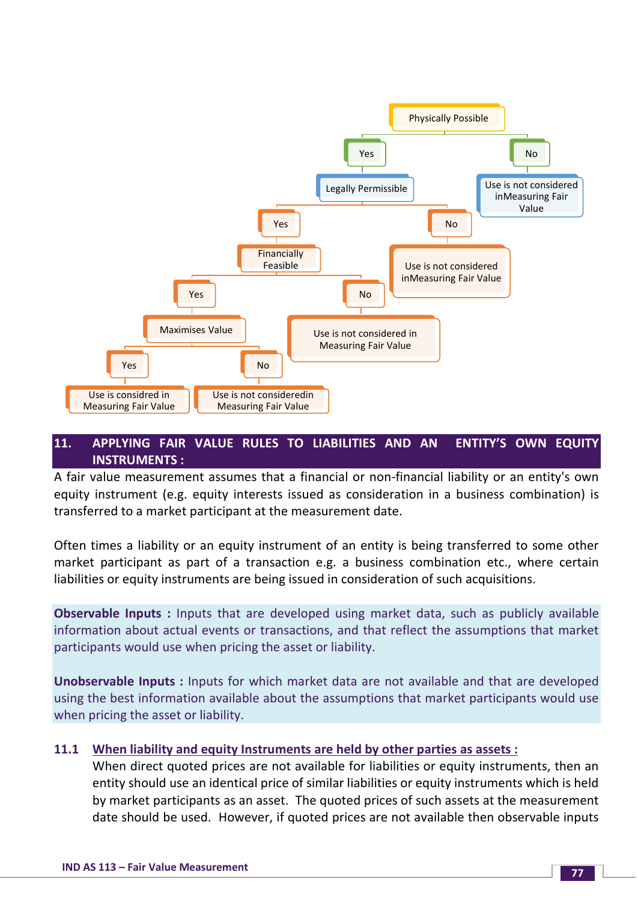

# **11. APPLYING FAIR VALUE RULES TO LIABILITIES AND AN ENTITY'S OWN EQUITY INSTRUMENTS :**

A fair value measurement assumes that a financial or non-financial liability or an entity's own equity instrument (e.g. equity interests issued as consideration in a business combination) is transferred to a market participant at the measurement date.

Often times a liability or an equity instrument of an entity is being transferred to some other market participant as part of a transaction e.g. a business combination etc., where certain liabilities or equity instruments are being issued in consideration of such acquisitions.

**Observable Inputs :** Inputs that are developed using market data, such as publicly available information about actual events or transactions, and that reflect the assumptions that market participants would use when pricing the asset or liability.

**Unobservable Inputs :** Inputs for which market data are not available and that are developed using the best information available about the assumptions that market participants would use when pricing the asset or liability.

# **11.1 When liability and equity Instruments are held by other parties as assets :**

When direct quoted prices are not available for liabilities or equity instruments, then an entity should use an identical price of similar liabilities or equity instruments which is held by market participants as an asset. The quoted prices of such assets at the measurement date should be used. However, if quoted prices are not available then observable inputs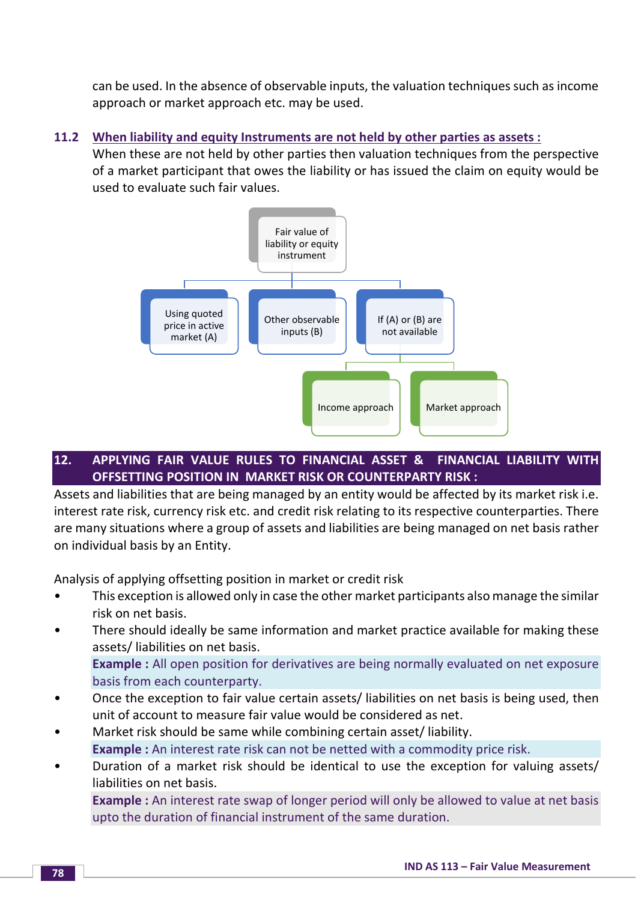can be used. In the absence of observable inputs, the valuation techniques such as income approach or market approach etc. may be used.

# **11.2 When liability and equity Instruments are not held by other parties as assets :**

When these are not held by other parties then valuation techniques from the perspective of a market participant that owes the liability or has issued the claim on equity would be used to evaluate such fair values.



# **12. APPLYING FAIR VALUE RULES TO FINANCIAL ASSET & FINANCIAL LIABILITY WITH OFFSETTING POSITION IN MARKET RISK OR COUNTERPARTY RISK :**

Assets and liabilities that are being managed by an entity would be affected by its market risk i.e. interest rate risk, currency risk etc. and credit risk relating to its respective counterparties. There are many situations where a group of assets and liabilities are being managed on net basis rather on individual basis by an Entity.

Analysis of applying offsetting position in market or credit risk

- This exception is allowed only in case the other market participants also manage the similar risk on net basis.
- There should ideally be same information and market practice available for making these assets/ liabilities on net basis. **Example :** All open position for derivatives are being normally evaluated on net exposure

basis from each counterparty.

- Once the exception to fair value certain assets/ liabilities on net basis is being used, then unit of account to measure fair value would be considered as net.
- Market risk should be same while combining certain asset/ liability. **Example :** An interest rate risk can not be netted with a commodity price risk.
- Duration of a market risk should be identical to use the exception for valuing assets/ liabilities on net basis.

**Example :** An interest rate swap of longer period will only be allowed to value at net basis upto the duration of financial instrument of the same duration.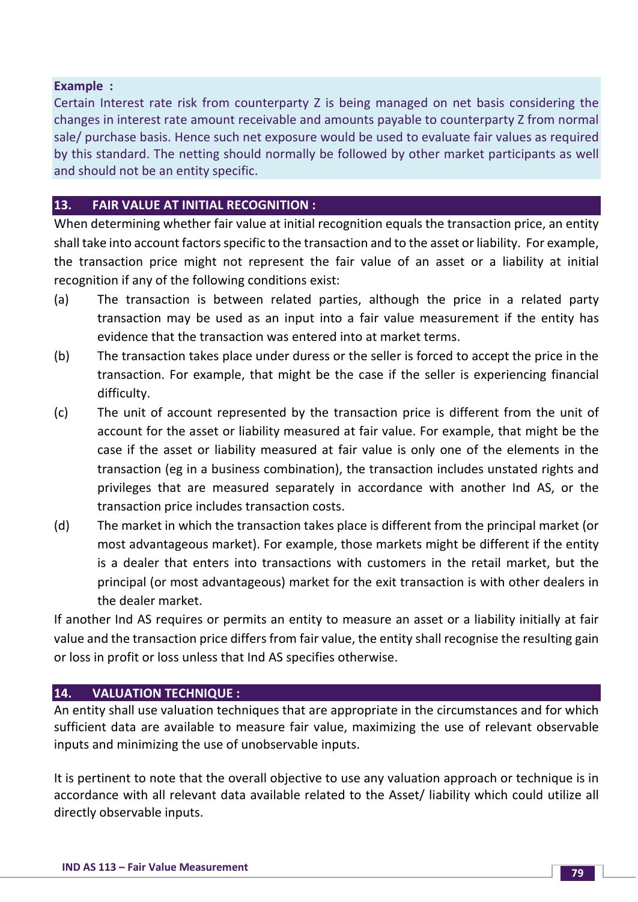### **Example :**

Certain Interest rate risk from counterparty Z is being managed on net basis considering the changes in interest rate amount receivable and amounts payable to counterparty Z from normal sale/ purchase basis. Hence such net exposure would be used to evaluate fair values as required by this standard. The netting should normally be followed by other market participants as well and should not be an entity specific.

# **13. FAIR VALUE AT INITIAL RECOGNITION :**

When determining whether fair value at initial recognition equals the transaction price, an entity shall take into account factors specific to the transaction and to the asset or liability. For example, the transaction price might not represent the fair value of an asset or a liability at initial recognition if any of the following conditions exist:

- (a) The transaction is between related parties, although the price in a related party transaction may be used as an input into a fair value measurement if the entity has evidence that the transaction was entered into at market terms.
- (b) The transaction takes place under duress or the seller is forced to accept the price in the transaction. For example, that might be the case if the seller is experiencing financial difficulty.
- (c) The unit of account represented by the transaction price is different from the unit of account for the asset or liability measured at fair value. For example, that might be the case if the asset or liability measured at fair value is only one of the elements in the transaction (eg in a business combination), the transaction includes unstated rights and privileges that are measured separately in accordance with another Ind AS, or the transaction price includes transaction costs.
- (d) The market in which the transaction takes place is different from the principal market (or most advantageous market). For example, those markets might be different if the entity is a dealer that enters into transactions with customers in the retail market, but the principal (or most advantageous) market for the exit transaction is with other dealers in the dealer market.

If another Ind AS requires or permits an entity to measure an asset or a liability initially at fair value and the transaction price differs from fair value, the entity shall recognise the resulting gain or loss in profit or loss unless that Ind AS specifies otherwise.

# **14. VALUATION TECHNIQUE :**

An entity shall use valuation techniques that are appropriate in the circumstances and for which sufficient data are available to measure fair value, maximizing the use of relevant observable inputs and minimizing the use of unobservable inputs.

It is pertinent to note that the overall objective to use any valuation approach or technique is in accordance with all relevant data available related to the Asset/ liability which could utilize all directly observable inputs.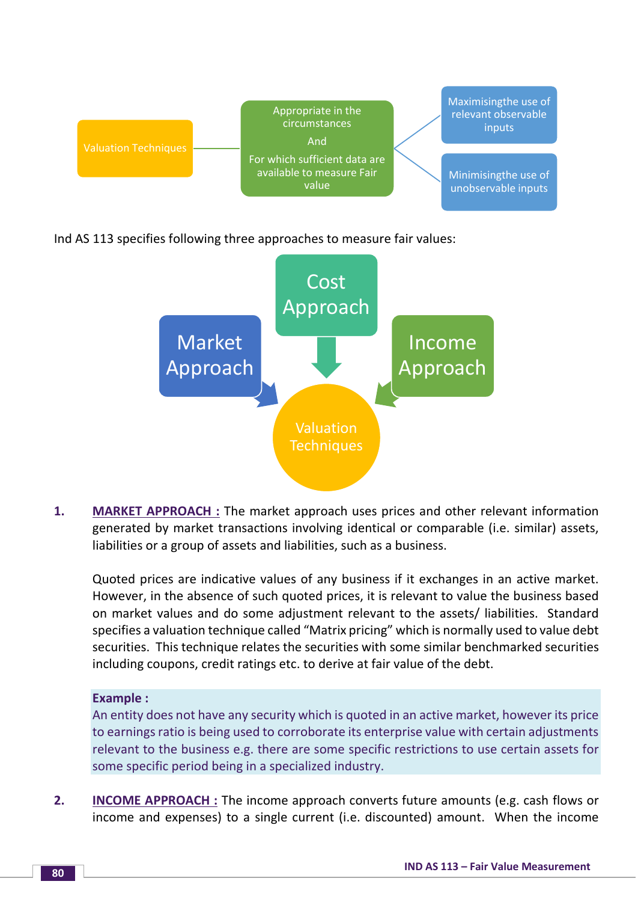

Ind AS 113 specifies following three approaches to measure fair values:



**1. MARKET APPROACH :** The market approach uses prices and other relevant information generated by market transactions involving identical or comparable (i.e. similar) assets, liabilities or a group of assets and liabilities, such as a business.

Quoted prices are indicative values of any business if it exchanges in an active market. However, in the absence of such quoted prices, it is relevant to value the business based on market values and do some adjustment relevant to the assets/ liabilities. Standard specifies a valuation technique called "Matrix pricing" which is normally used to value debt securities. This technique relates the securities with some similar benchmarked securities including coupons, credit ratings etc. to derive at fair value of the debt.

# **Example :**

An entity does not have any security which is quoted in an active market, however its price to earnings ratio is being used to corroborate its enterprise value with certain adjustments relevant to the business e.g. there are some specific restrictions to use certain assets for some specific period being in a specialized industry.

**2. INCOME APPROACH**: The income approach converts future amounts (e.g. cash flows or income and expenses) to a single current (i.e. discounted) amount. When the income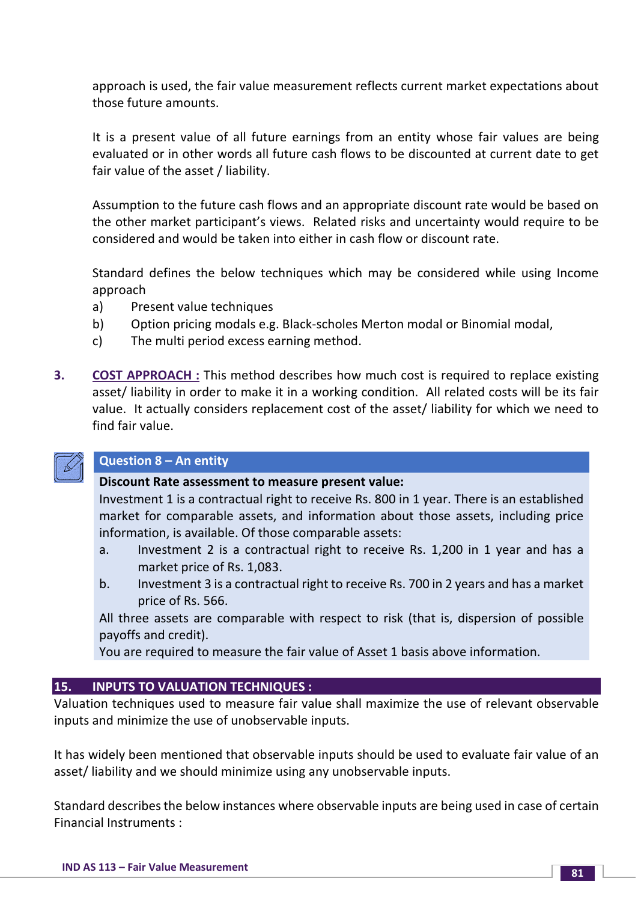approach is used, the fair value measurement reflects current market expectations about those future amounts.

It is a present value of all future earnings from an entity whose fair values are being evaluated or in other words all future cash flows to be discounted at current date to get fair value of the asset / liability.

Assumption to the future cash flows and an appropriate discount rate would be based on the other market participant's views. Related risks and uncertainty would require to be considered and would be taken into either in cash flow or discount rate.

Standard defines the below techniques which may be considered while using Income approach

- a) Present value techniques
- b) Option pricing modals e.g. Black-scholes Merton modal or Binomial modal,
- c) The multi period excess earning method.
- **3. COST APPROACH :** This method describes how much cost is required to replace existing asset/ liability in order to make it in a working condition. All related costs will be its fair value. It actually considers replacement cost of the asset/ liability for which we need to find fair value.



# **Question 8 – An entity**

# **Discount Rate assessment to measure present value:**

Investment 1 is a contractual right to receive Rs. 800 in 1 year. There is an established market for comparable assets, and information about those assets, including price information, is available. Of those comparable assets:

- a. Investment 2 is a contractual right to receive Rs. 1,200 in 1 year and has a market price of Rs. 1,083.
- b. Investment 3 is a contractual right to receive Rs. 700 in 2 years and has a market price of Rs. 566.

All three assets are comparable with respect to risk (that is, dispersion of possible payoffs and credit).

You are required to measure the fair value of Asset 1 basis above information.

# **15. INPUTS TO VALUATION TECHNIQUES :**

Valuation techniques used to measure fair value shall maximize the use of relevant observable inputs and minimize the use of unobservable inputs.

It has widely been mentioned that observable inputs should be used to evaluate fair value of an asset/ liability and we should minimize using any unobservable inputs.

Standard describes the below instances where observable inputs are being used in case of certain Financial Instruments :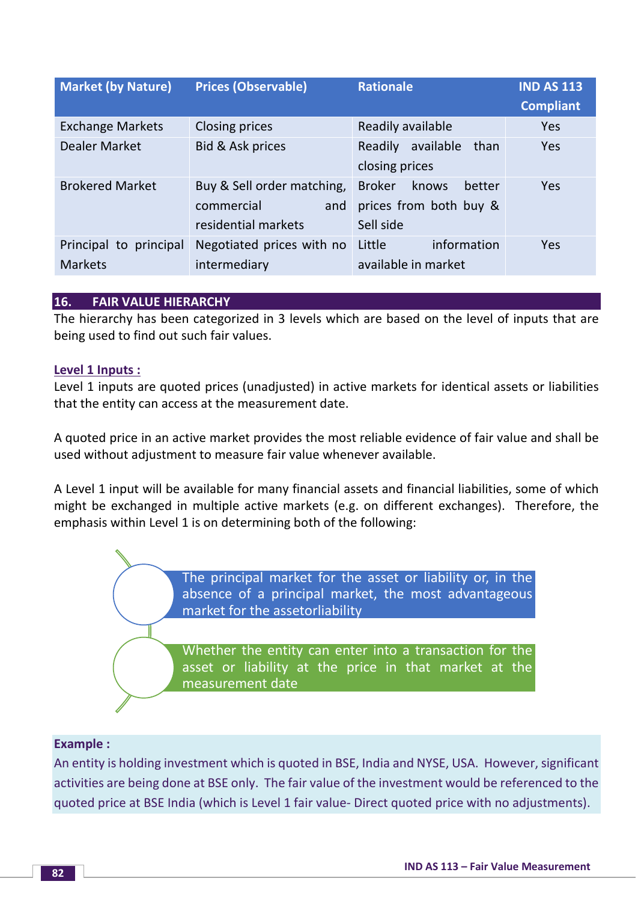| <b>Market (by Nature)</b>                | <b>Prices (Observable)</b>                                             | <b>Rationale</b>                                                        | <b>IND AS 113</b><br><b>Compliant</b> |
|------------------------------------------|------------------------------------------------------------------------|-------------------------------------------------------------------------|---------------------------------------|
| <b>Exchange Markets</b>                  | <b>Closing prices</b>                                                  | Readily available                                                       | <b>Yes</b>                            |
| <b>Dealer Market</b>                     | Bid & Ask prices                                                       | available<br>Readily<br>than<br>closing prices                          | <b>Yes</b>                            |
| <b>Brokered Market</b>                   | Buy & Sell order matching,<br>commercial<br>and<br>residential markets | <b>Broker</b><br>knows<br>better<br>prices from both buy &<br>Sell side | <b>Yes</b>                            |
| Principal to principal<br><b>Markets</b> | Negotiated prices with no<br>intermediary                              | information<br>Little<br>available in market                            | <b>Yes</b>                            |

# **16. FAIR VALUE HIERARCHY**

The hierarchy has been categorized in 3 levels which are based on the level of inputs that are being used to find out such fair values.

#### **Level 1 Inputs :**

Level 1 inputs are quoted prices (unadjusted) in active markets for identical assets or liabilities that the entity can access at the measurement date.

A quoted price in an active market provides the most reliable evidence of fair value and shall be used without adjustment to measure fair value whenever available.

A Level 1 input will be available for many financial assets and financial liabilities, some of which might be exchanged in multiple active markets (e.g. on different exchanges). Therefore, the emphasis within Level 1 is on determining both of the following:

> The principal market for the asset or liability or, in the absence of a principal market, the most advantageous market for the assetorliability

> Whether the entity can enter into a transaction for the asset or liability at the price in that market at the measurement date

#### **Example :**

An entity is holding investment which is quoted in BSE, India and NYSE, USA. However, significant activities are being done at BSE only. The fair value of the investment would be referenced to the quoted price at BSE India (which is Level 1 fair value- Direct quoted price with no adjustments).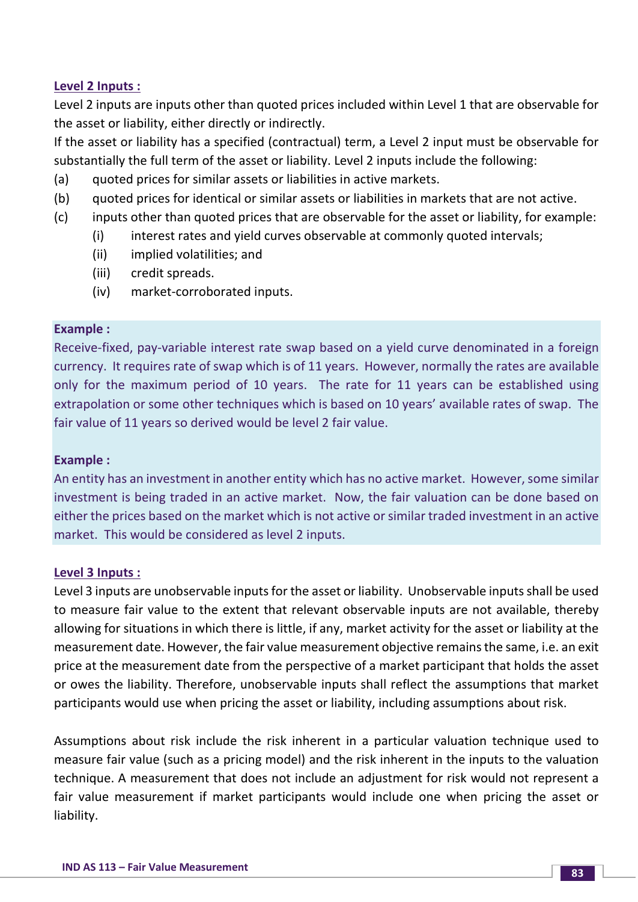# **Level 2 Inputs :**

Level 2 inputs are inputs other than quoted prices included within Level 1 that are observable for the asset or liability, either directly or indirectly.

If the asset or liability has a specified (contractual) term, a Level 2 input must be observable for substantially the full term of the asset or liability. Level 2 inputs include the following:

- (a) quoted prices for similar assets or liabilities in active markets.
- (b) quoted prices for identical or similar assets or liabilities in markets that are not active.
- (c) inputs other than quoted prices that are observable for the asset or liability, for example:
	- (i) interest rates and yield curves observable at commonly quoted intervals;
	- (ii) implied volatilities; and
	- (iii) credit spreads.
	- (iv) market-corroborated inputs.

#### **Example :**

Receive-fixed, pay-variable interest rate swap based on a yield curve denominated in a foreign currency. It requires rate of swap which is of 11 years. However, normally the rates are available only for the maximum period of 10 years. The rate for 11 years can be established using extrapolation or some other techniques which is based on 10 years' available rates of swap. The fair value of 11 years so derived would be level 2 fair value.

# **Example :**

An entity has an investment in another entity which has no active market. However, some similar investment is being traded in an active market. Now, the fair valuation can be done based on either the prices based on the market which is not active or similar traded investment in an active market. This would be considered as level 2 inputs.

#### **Level 3 Inputs :**

Level 3 inputs are unobservable inputs for the asset or liability. Unobservable inputs shall be used to measure fair value to the extent that relevant observable inputs are not available, thereby allowing for situations in which there is little, if any, market activity for the asset or liability at the measurement date. However, the fair value measurement objective remains the same, i.e. an exit price at the measurement date from the perspective of a market participant that holds the asset or owes the liability. Therefore, unobservable inputs shall reflect the assumptions that market participants would use when pricing the asset or liability, including assumptions about risk.

Assumptions about risk include the risk inherent in a particular valuation technique used to measure fair value (such as a pricing model) and the risk inherent in the inputs to the valuation technique. A measurement that does not include an adjustment for risk would not represent a fair value measurement if market participants would include one when pricing the asset or liability.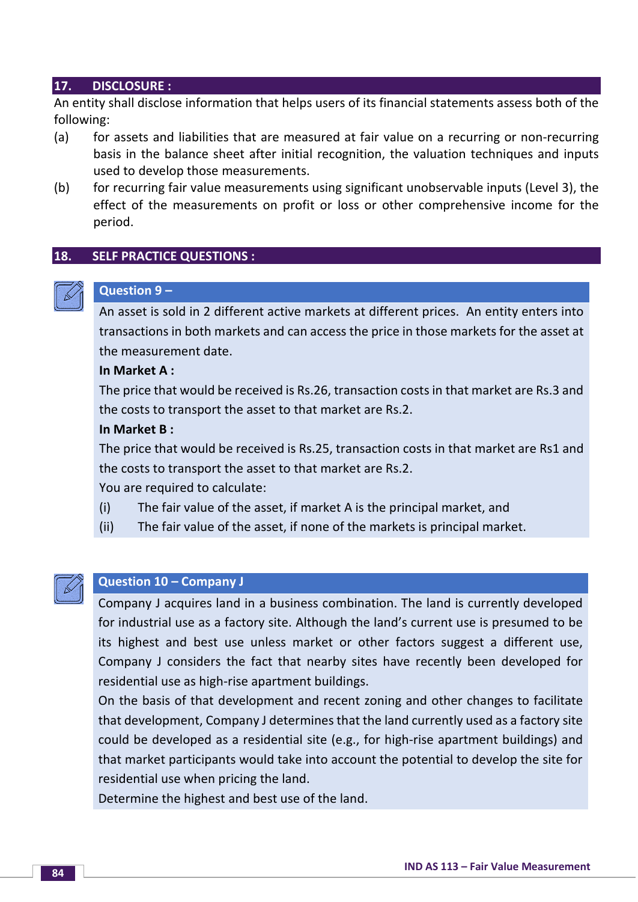#### **17. DISCLOSURE :**

An entity shall disclose information that helps users of its financial statements assess both of the following:

- (a) for assets and liabilities that are measured at fair value on a recurring or non-recurring basis in the balance sheet after initial recognition, the valuation techniques and inputs used to develop those measurements.
- (b) for recurring fair value measurements using significant unobservable inputs (Level 3), the effect of the measurements on profit or loss or other comprehensive income for the period.

# **18. SELF PRACTICE QUESTIONS :**

# **Question 9 –**

An asset is sold in 2 different active markets at different prices. An entity enters into transactions in both markets and can access the price in those markets for the asset at the measurement date.

#### **In Market A :**

The price that would be received is Rs.26, transaction costs in that market are Rs.3 and the costs to transport the asset to that market are Rs.2.

#### **In Market B :**

The price that would be received is Rs.25, transaction costs in that market are Rs1 and the costs to transport the asset to that market are Rs.2.

You are required to calculate:

- (i) The fair value of the asset, if market A is the principal market, and
- (ii) The fair value of the asset, if none of the markets is principal market.



### **Question 10 – Company J**

Company J acquires land in a business combination. The land is currently developed for industrial use as a factory site. Although the land's current use is presumed to be its highest and best use unless market or other factors suggest a different use, Company J considers the fact that nearby sites have recently been developed for residential use as high-rise apartment buildings.

On the basis of that development and recent zoning and other changes to facilitate that development, Company J determines that the land currently used as a factory site could be developed as a residential site (e.g., for high-rise apartment buildings) and that market participants would take into account the potential to develop the site for residential use when pricing the land.

Determine the highest and best use of the land.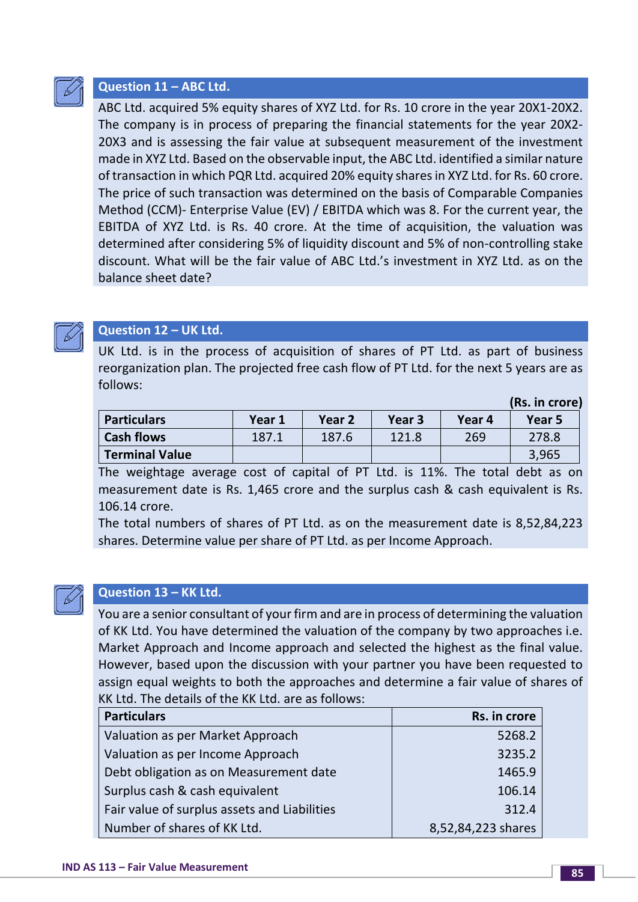

# **Question 11 – ABC Ltd.**

ABC Ltd. acquired 5% equity shares of XYZ Ltd. for Rs. 10 crore in the year 20X1-20X2. The company is in process of preparing the financial statements for the year 20X2- 20X3 and is assessing the fair value at subsequent measurement of the investment made in XYZ Ltd. Based on the observable input, the ABC Ltd. identified a similar nature of transaction in which PQR Ltd. acquired 20% equity shares in XYZ Ltd. for Rs. 60 crore. The price of such transaction was determined on the basis of Comparable Companies Method (CCM)- Enterprise Value (EV) / EBITDA which was 8. For the current year, the EBITDA of XYZ Ltd. is Rs. 40 crore. At the time of acquisition, the valuation was determined after considering 5% of liquidity discount and 5% of non-controlling stake discount. What will be the fair value of ABC Ltd.'s investment in XYZ Ltd. as on the balance sheet date?



# **Question 12 – UK Ltd.**

UK Ltd. is in the process of acquisition of shares of PT Ltd. as part of business reorganization plan. The projected free cash flow of PT Ltd. for the next 5 years are as follows:

|                       |        |        |        |        | (D3.III UUIC) |
|-----------------------|--------|--------|--------|--------|---------------|
| <b>Particulars</b>    | Year 1 | Year 2 | Year 3 | Year 4 | Year 5        |
| <b>Cash flows</b>     | 187.1  | 187.6  | 121.8  | 269    | 278.8         |
| <b>Terminal Value</b> |        |        |        |        | 3,965         |

The weightage average cost of capital of PT Ltd. is 11%. The total debt as on measurement date is Rs. 1,465 crore and the surplus cash & cash equivalent is Rs. 106.14 crore.

The total numbers of shares of PT Ltd. as on the measurement date is 8,52,84,223 shares. Determine value per share of PT Ltd. as per Income Approach.



# **Question 13 – KK Ltd.**

You are a senior consultant of your firm and are in process of determining the valuation of KK Ltd. You have determined the valuation of the company by two approaches i.e. Market Approach and Income approach and selected the highest as the final value. However, based upon the discussion with your partner you have been requested to assign equal weights to both the approaches and determine a fair value of shares of KK Ltd. The details of the KK Ltd. are as follows:

| <b>Particulars</b>                           | Rs. in crore       |
|----------------------------------------------|--------------------|
| Valuation as per Market Approach             | 5268.2             |
| Valuation as per Income Approach             | 3235.2             |
| Debt obligation as on Measurement date       | 1465.9             |
| Surplus cash & cash equivalent               | 106.14             |
| Fair value of surplus assets and Liabilities | 312.4              |
| Number of shares of KK Ltd.                  | 8,52,84,223 shares |

**(Rs. in crore)**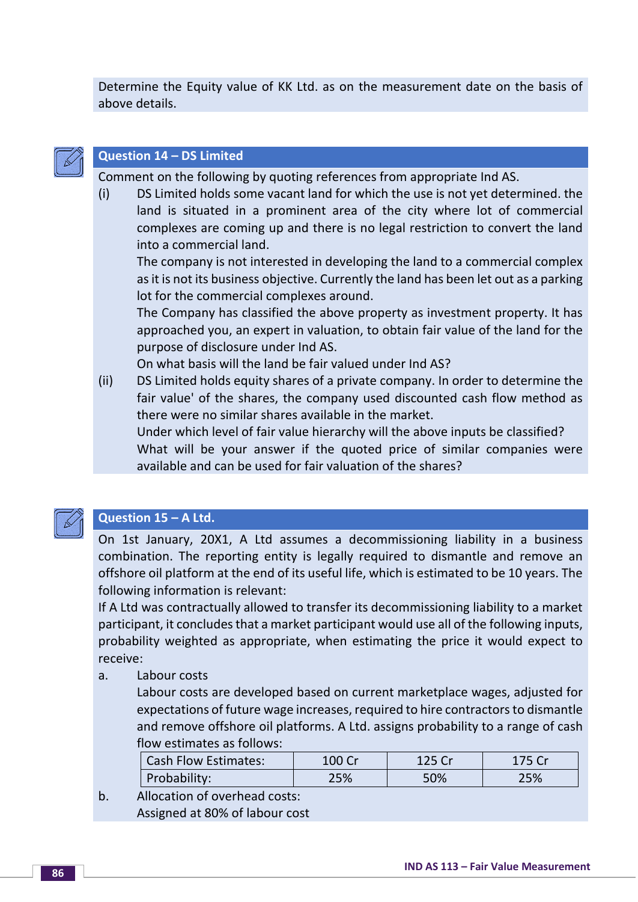Determine the Equity value of KK Ltd. as on the measurement date on the basis of above details.



# **Question 14 – DS Limited**

Comment on the following by quoting references from appropriate Ind AS.

(i) DS Limited holds some vacant land for which the use is not yet determined. the land is situated in a prominent area of the city where lot of commercial complexes are coming up and there is no legal restriction to convert the land into a commercial land.

The company is not interested in developing the land to a commercial complex as it is not its business objective. Currently the land has been let out as a parking lot for the commercial complexes around.

The Company has classified the above property as investment property. It has approached you, an expert in valuation, to obtain fair value of the land for the purpose of disclosure under Ind AS.

On what basis will the land be fair valued under Ind AS?

(ii) DS Limited holds equity shares of a private company. In order to determine the fair value' of the shares, the company used discounted cash flow method as there were no similar shares available in the market.

Under which level of fair value hierarchy will the above inputs be classified? What will be your answer if the quoted price of similar companies were available and can be used for fair valuation of the shares?



# **Question 15 – A Ltd.**

On 1st January, 20X1, A Ltd assumes a decommissioning liability in a business combination. The reporting entity is legally required to dismantle and remove an offshore oil platform at the end of its useful life, which is estimated to be 10 years. The following information is relevant:

If A Ltd was contractually allowed to transfer its decommissioning liability to a market participant, it concludes that a market participant would use all of the following inputs, probability weighted as appropriate, when estimating the price it would expect to receive:

a. Labour costs

Labour costs are developed based on current marketplace wages, adjusted for expectations of future wage increases, required to hire contractors to dismantle and remove offshore oil platforms. A Ltd. assigns probability to a range of cash flow estimates as follows:

| <b>Cash Flow Estimates:</b> | 100 Cr | 125 Cr | 175 Cr |
|-----------------------------|--------|--------|--------|
| Probability:                | 25%    | 50%    | 25%    |

b. Allocation of overhead costs: Assigned at 80% of labour cost